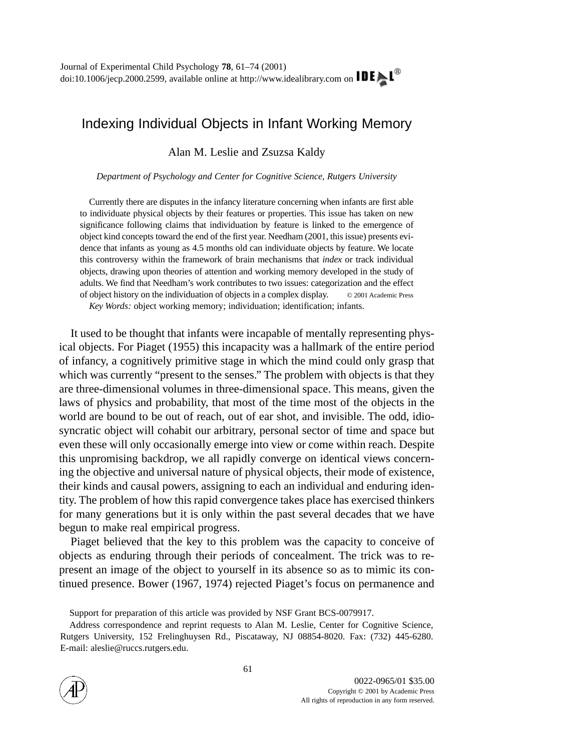# Indexing Individual Objects in Infant Working Memory

### Alan M. Leslie and Zsuzsa Kaldy

*Department of Psychology and Center for Cognitive Science, Rutgers University*

Currently there are disputes in the infancy literature concerning when infants are first able to individuate physical objects by their features or properties. This issue has taken on new significance following claims that individuation by feature is linked to the emergence of object kind concepts toward the end of the first year. Needham (2001, this issue) presents evidence that infants as young as 4.5 months old can individuate objects by feature. We locate this controversy within the framework of brain mechanisms that *index* or track individual objects, drawing upon theories of attention and working memory developed in the study of adults. We find that Needham's work contributes to two issues: categorization and the effect of object history on the individuation of objects in a complex display. © 2001 Academic Press *Key Words:* object working memory; individuation; identification; infants.

It used to be thought that infants were incapable of mentally representing physical objects. For Piaget (1955) this incapacity was a hallmark of the entire period of infancy, a cognitively primitive stage in which the mind could only grasp that which was currently "present to the senses." The problem with objects is that they are three-dimensional volumes in three-dimensional space. This means, given the laws of physics and probability, that most of the time most of the objects in the world are bound to be out of reach, out of ear shot, and invisible. The odd, idiosyncratic object will cohabit our arbitrary, personal sector of time and space but even these will only occasionally emerge into view or come within reach. Despite this unpromising backdrop, we all rapidly converge on identical views concerning the objective and universal nature of physical objects, their mode of existence, their kinds and causal powers, assigning to each an individual and enduring identity. The problem of how this rapid convergence takes place has exercised thinkers for many generations but it is only within the past several decades that we have begun to make real empirical progress.

Piaget believed that the key to this problem was the capacity to conceive of objects as enduring through their periods of concealment. The trick was to represent an image of the object to yourself in its absence so as to mimic its continued presence. Bower (1967, 1974) rejected Piaget's focus on permanence and

Address correspondence and reprint requests to Alan M. Leslie, Center for Cognitive Science, Rutgers University, 152 Frelinghuysen Rd., Piscataway, NJ 08854-8020. Fax: (732) 445-6280. E-mail: aleslie@ruccs.rutgers.edu.



Support for preparation of this article was provided by NSF Grant BCS-0079917.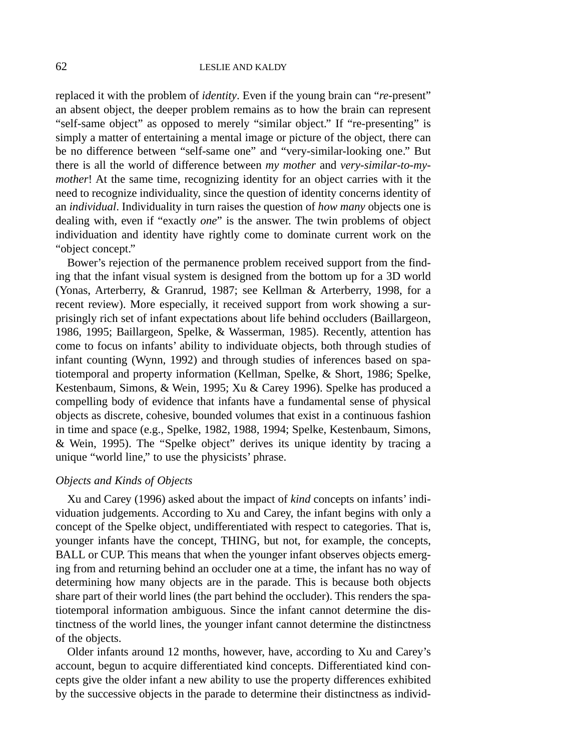replaced it with the problem of *identity*. Even if the young brain can "*re*-present" an absent object, the deeper problem remains as to how the brain can represent "self-same object" as opposed to merely "similar object." If "re-presenting" is simply a matter of entertaining a mental image or picture of the object, there can be no difference between "self-same one" and "very-similar-looking one." But there is all the world of difference between *my mother* and *very-similar-to-mymother*! At the same time, recognizing identity for an object carries with it the need to recognize individuality, since the question of identity concerns identity of an *individual*. Individuality in turn raises the question of *how many* objects one is dealing with, even if "exactly *one*" is the answer. The twin problems of object individuation and identity have rightly come to dominate current work on the "object concept."

Bower's rejection of the permanence problem received support from the finding that the infant visual system is designed from the bottom up for a 3D world (Yonas, Arterberry, & Granrud, 1987; see Kellman & Arterberry, 1998, for a recent review). More especially, it received support from work showing a surprisingly rich set of infant expectations about life behind occluders (Baillargeon, 1986, 1995; Baillargeon, Spelke, & Wasserman, 1985). Recently, attention has come to focus on infants' ability to individuate objects, both through studies of infant counting (Wynn, 1992) and through studies of inferences based on spatiotemporal and property information (Kellman, Spelke, & Short, 1986; Spelke, Kestenbaum, Simons, & Wein, 1995; Xu & Carey 1996). Spelke has produced a compelling body of evidence that infants have a fundamental sense of physical objects as discrete, cohesive, bounded volumes that exist in a continuous fashion in time and space (e.g., Spelke, 1982, 1988, 1994; Spelke, Kestenbaum, Simons, & Wein, 1995). The "Spelke object" derives its unique identity by tracing a unique "world line," to use the physicists' phrase.

## *Objects and Kinds of Objects*

Xu and Carey (1996) asked about the impact of *kind* concepts on infants' individuation judgements. According to Xu and Carey, the infant begins with only a concept of the Spelke object, undifferentiated with respect to categories. That is, younger infants have the concept, THING, but not, for example, the concepts, BALL or CUP. This means that when the younger infant observes objects emerging from and returning behind an occluder one at a time, the infant has no way of determining how many objects are in the parade. This is because both objects share part of their world lines (the part behind the occluder). This renders the spatiotemporal information ambiguous. Since the infant cannot determine the distinctness of the world lines, the younger infant cannot determine the distinctness of the objects.

Older infants around 12 months, however, have, according to Xu and Carey's account, begun to acquire differentiated kind concepts. Differentiated kind concepts give the older infant a new ability to use the property differences exhibited by the successive objects in the parade to determine their distinctness as individ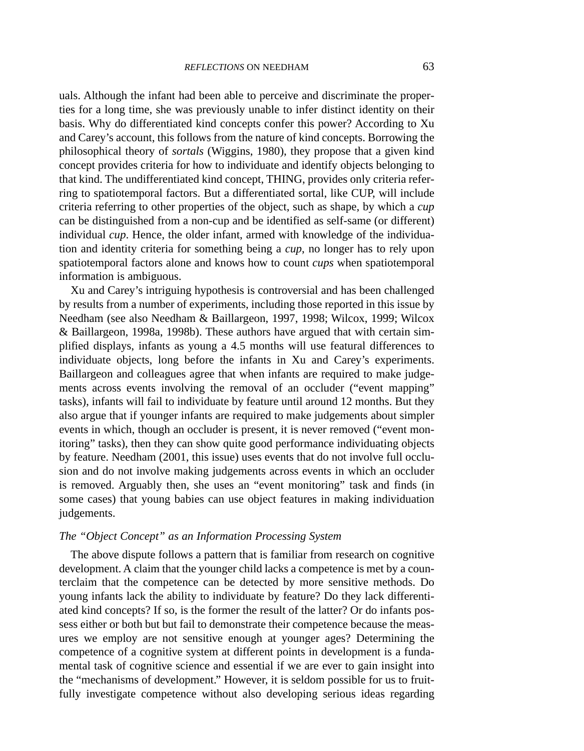uals. Although the infant had been able to perceive and discriminate the properties for a long time, she was previously unable to infer distinct identity on their basis. Why do differentiated kind concepts confer this power? According to Xu and Carey's account, this follows from the nature of kind concepts. Borrowing the philosophical theory of *sortals* (Wiggins, 1980), they propose that a given kind concept provides criteria for how to individuate and identify objects belonging to that kind. The undifferentiated kind concept, THING, provides only criteria referring to spatiotemporal factors. But a differentiated sortal, like CUP, will include criteria referring to other properties of the object, such as shape, by which a *cup* can be distinguished from a non-cup and be identified as self-same (or different) individual *cup*. Hence, the older infant, armed with knowledge of the individuation and identity criteria for something being a *cup*, no longer has to rely upon spatiotemporal factors alone and knows how to count *cups* when spatiotemporal information is ambiguous.

Xu and Carey's intriguing hypothesis is controversial and has been challenged by results from a number of experiments, including those reported in this issue by Needham (see also Needham & Baillargeon, 1997, 1998; Wilcox, 1999; Wilcox & Baillargeon, 1998a, 1998b). These authors have argued that with certain simplified displays, infants as young a 4.5 months will use featural differences to individuate objects, long before the infants in Xu and Carey's experiments. Baillargeon and colleagues agree that when infants are required to make judgements across events involving the removal of an occluder ("event mapping" tasks), infants will fail to individuate by feature until around 12 months. But they also argue that if younger infants are required to make judgements about simpler events in which, though an occluder is present, it is never removed ("event monitoring" tasks), then they can show quite good performance individuating objects by feature. Needham (2001, this issue) uses events that do not involve full occlusion and do not involve making judgements across events in which an occluder is removed. Arguably then, she uses an "event monitoring" task and finds (in some cases) that young babies can use object features in making individuation judgements.

## *The "Object Concept" as an Information Processing System*

The above dispute follows a pattern that is familiar from research on cognitive development. A claim that the younger child lacks a competence is met by a counterclaim that the competence can be detected by more sensitive methods. Do young infants lack the ability to individuate by feature? Do they lack differentiated kind concepts? If so, is the former the result of the latter? Or do infants possess either or both but but fail to demonstrate their competence because the measures we employ are not sensitive enough at younger ages? Determining the competence of a cognitive system at different points in development is a fundamental task of cognitive science and essential if we are ever to gain insight into the "mechanisms of development." However, it is seldom possible for us to fruitfully investigate competence without also developing serious ideas regarding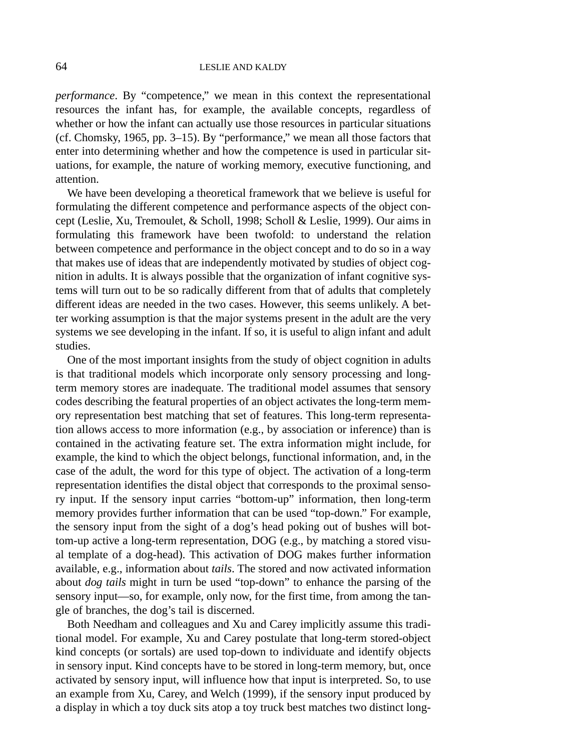*performance*. By "competence," we mean in this context the representational resources the infant has, for example, the available concepts, regardless of whether or how the infant can actually use those resources in particular situations (cf. Chomsky, 1965, pp. 3–15). By "performance," we mean all those factors that enter into determining whether and how the competence is used in particular situations, for example, the nature of working memory, executive functioning, and attention.

We have been developing a theoretical framework that we believe is useful for formulating the different competence and performance aspects of the object concept (Leslie, Xu, Tremoulet, & Scholl, 1998; Scholl & Leslie, 1999). Our aims in formulating this framework have been twofold: to understand the relation between competence and performance in the object concept and to do so in a way that makes use of ideas that are independently motivated by studies of object cognition in adults. It is always possible that the organization of infant cognitive systems will turn out to be so radically different from that of adults that completely different ideas are needed in the two cases. However, this seems unlikely. A better working assumption is that the major systems present in the adult are the very systems we see developing in the infant. If so, it is useful to align infant and adult studies.

One of the most important insights from the study of object cognition in adults is that traditional models which incorporate only sensory processing and longterm memory stores are inadequate. The traditional model assumes that sensory codes describing the featural properties of an object activates the long-term memory representation best matching that set of features. This long-term representation allows access to more information (e.g., by association or inference) than is contained in the activating feature set. The extra information might include, for example, the kind to which the object belongs, functional information, and, in the case of the adult, the word for this type of object. The activation of a long-term representation identifies the distal object that corresponds to the proximal sensory input. If the sensory input carries "bottom-up" information, then long-term memory provides further information that can be used "top-down." For example, the sensory input from the sight of a dog's head poking out of bushes will bottom-up active a long-term representation, DOG (e.g., by matching a stored visual template of a dog-head). This activation of DOG makes further information available, e.g., information about *tails*. The stored and now activated information about *dog tails* might in turn be used "top-down" to enhance the parsing of the sensory input—so, for example, only now, for the first time, from among the tangle of branches, the dog's tail is discerned.

Both Needham and colleagues and Xu and Carey implicitly assume this traditional model. For example, Xu and Carey postulate that long-term stored-object kind concepts (or sortals) are used top-down to individuate and identify objects in sensory input. Kind concepts have to be stored in long-term memory, but, once activated by sensory input, will influence how that input is interpreted. So, to use an example from Xu, Carey, and Welch (1999), if the sensory input produced by a display in which a toy duck sits atop a toy truck best matches two distinct long-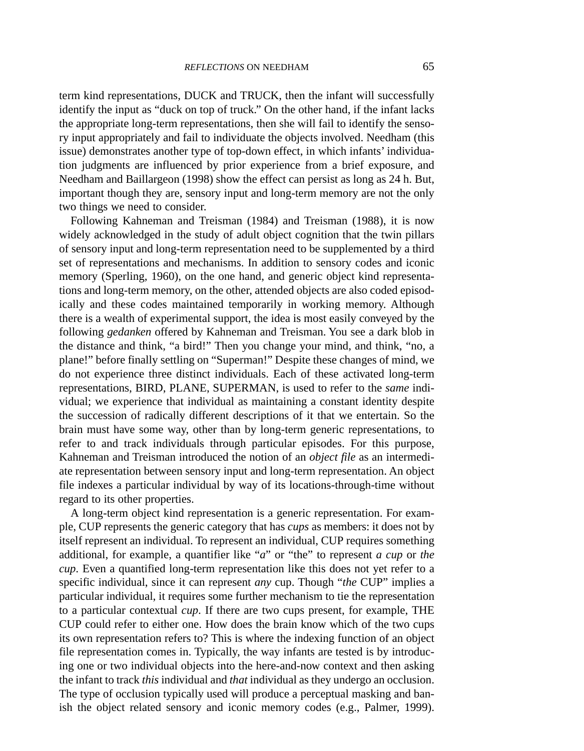term kind representations, DUCK and TRUCK, then the infant will successfully identify the input as "duck on top of truck." On the other hand, if the infant lacks the appropriate long-term representations, then she will fail to identify the sensory input appropriately and fail to individuate the objects involved. Needham (this issue) demonstrates another type of top-down effect, in which infants' individuation judgments are influenced by prior experience from a brief exposure, and Needham and Baillargeon (1998) show the effect can persist as long as 24 h. But, important though they are, sensory input and long-term memory are not the only two things we need to consider.

Following Kahneman and Treisman (1984) and Treisman (1988), it is now widely acknowledged in the study of adult object cognition that the twin pillars of sensory input and long-term representation need to be supplemented by a third set of representations and mechanisms. In addition to sensory codes and iconic memory (Sperling, 1960), on the one hand, and generic object kind representations and long-term memory, on the other, attended objects are also coded episodically and these codes maintained temporarily in working memory. Although there is a wealth of experimental support, the idea is most easily conveyed by the following *gedanken* offered by Kahneman and Treisman. You see a dark blob in the distance and think, "a bird!" Then you change your mind, and think, "no, a plane!" before finally settling on "Superman!" Despite these changes of mind, we do not experience three distinct individuals. Each of these activated long-term representations, BIRD, PLANE, SUPERMAN, is used to refer to the *same* individual; we experience that individual as maintaining a constant identity despite the succession of radically different descriptions of it that we entertain. So the brain must have some way, other than by long-term generic representations, to refer to and track individuals through particular episodes. For this purpose, Kahneman and Treisman introduced the notion of an *object file* as an intermediate representation between sensory input and long-term representation. An object file indexes a particular individual by way of its locations-through-time without regard to its other properties.

A long-term object kind representation is a generic representation. For example, CUP represents the generic category that has *cups* as members: it does not by itself represent an individual. To represent an individual, CUP requires something additional, for example, a quantifier like "*a*" or "the" to represent *a cup* or *the cup*. Even a quantified long-term representation like this does not yet refer to a specific individual, since it can represent *any* cup. Though "*the* CUP" implies a particular individual, it requires some further mechanism to tie the representation to a particular contextual *cup*. If there are two cups present, for example, THE CUP could refer to either one. How does the brain know which of the two cups its own representation refers to? This is where the indexing function of an object file representation comes in. Typically, the way infants are tested is by introducing one or two individual objects into the here-and-now context and then asking the infant to track *this* individual and *that* individual as they undergo an occlusion. The type of occlusion typically used will produce a perceptual masking and banish the object related sensory and iconic memory codes (e.g., Palmer, 1999).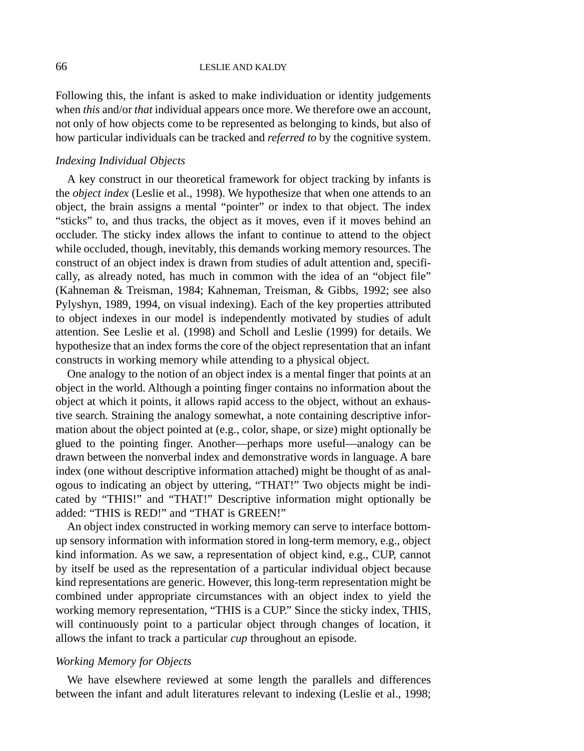Following this, the infant is asked to make individuation or identity judgements when *this* and/or *that* individual appears once more. We therefore owe an account, not only of how objects come to be represented as belonging to kinds, but also of how particular individuals can be tracked and *referred to* by the cognitive system.

#### *Indexing Individual Objects*

A key construct in our theoretical framework for object tracking by infants is the *object index* (Leslie et al., 1998). We hypothesize that when one attends to an object, the brain assigns a mental "pointer" or index to that object. The index "sticks" to, and thus tracks, the object as it moves, even if it moves behind an occluder. The sticky index allows the infant to continue to attend to the object while occluded, though, inevitably, this demands working memory resources. The construct of an object index is drawn from studies of adult attention and, specifically, as already noted, has much in common with the idea of an "object file" (Kahneman & Treisman, 1984; Kahneman, Treisman, & Gibbs, 1992; see also Pylyshyn, 1989, 1994, on visual indexing). Each of the key properties attributed to object indexes in our model is independently motivated by studies of adult attention. See Leslie et al. (1998) and Scholl and Leslie (1999) for details. We hypothesize that an index forms the core of the object representation that an infant constructs in working memory while attending to a physical object.

One analogy to the notion of an object index is a mental finger that points at an object in the world. Although a pointing finger contains no information about the object at which it points, it allows rapid access to the object, without an exhaustive search. Straining the analogy somewhat, a note containing descriptive information about the object pointed at (e.g., color, shape, or size) might optionally be glued to the pointing finger. Another—perhaps more useful—analogy can be drawn between the nonverbal index and demonstrative words in language. A bare index (one without descriptive information attached) might be thought of as analogous to indicating an object by uttering, "THAT!" Two objects might be indicated by "THIS!" and "THAT!" Descriptive information might optionally be added: "THIS is RED!" and "THAT is GREEN!"

An object index constructed in working memory can serve to interface bottomup sensory information with information stored in long-term memory, e.g., object kind information. As we saw, a representation of object kind, e.g., CUP, cannot by itself be used as the representation of a particular individual object because kind representations are generic. However, this long-term representation might be combined under appropriate circumstances with an object index to yield the working memory representation, "THIS is a CUP." Since the sticky index, THIS, will continuously point to a particular object through changes of location, it allows the infant to track a particular *cup* throughout an episode.

### *Working Memory for Objects*

We have elsewhere reviewed at some length the parallels and differences between the infant and adult literatures relevant to indexing (Leslie et al., 1998;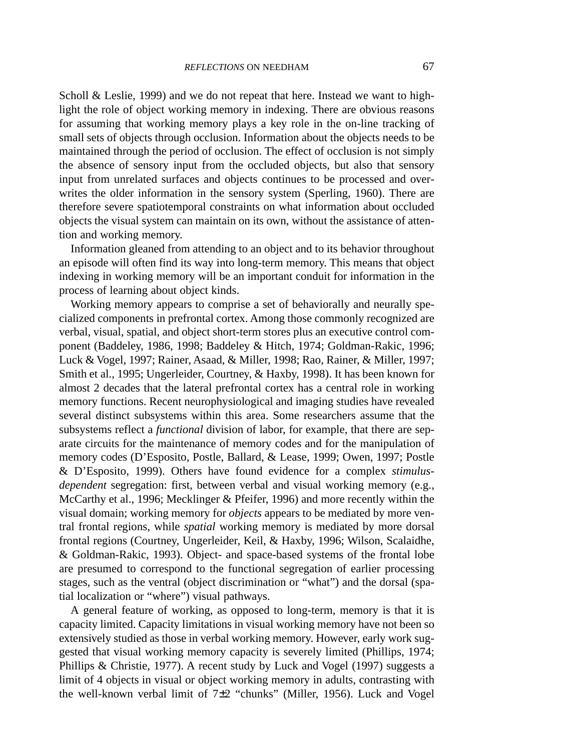Scholl & Leslie, 1999) and we do not repeat that here. Instead we want to highlight the role of object working memory in indexing. There are obvious reasons for assuming that working memory plays a key role in the on-line tracking of small sets of objects through occlusion. Information about the objects needs to be maintained through the period of occlusion. The effect of occlusion is not simply the absence of sensory input from the occluded objects, but also that sensory input from unrelated surfaces and objects continues to be processed and overwrites the older information in the sensory system (Sperling, 1960). There are therefore severe spatiotemporal constraints on what information about occluded objects the visual system can maintain on its own, without the assistance of attention and working memory.

Information gleaned from attending to an object and to its behavior throughout an episode will often find its way into long-term memory. This means that object indexing in working memory will be an important conduit for information in the process of learning about object kinds.

Working memory appears to comprise a set of behaviorally and neurally specialized components in prefrontal cortex. Among those commonly recognized are verbal, visual, spatial, and object short-term stores plus an executive control component (Baddeley, 1986, 1998; Baddeley & Hitch, 1974; Goldman-Rakic, 1996; Luck & Vogel, 1997; Rainer, Asaad, & Miller, 1998; Rao, Rainer, & Miller, 1997; Smith et al., 1995; Ungerleider, Courtney, & Haxby, 1998). It has been known for almost 2 decades that the lateral prefrontal cortex has a central role in working memory functions. Recent neurophysiological and imaging studies have revealed several distinct subsystems within this area. Some researchers assume that the subsystems reflect a *functional* division of labor, for example, that there are separate circuits for the maintenance of memory codes and for the manipulation of memory codes (D'Esposito, Postle, Ballard, & Lease, 1999; Owen, 1997; Postle & D'Esposito, 1999). Others have found evidence for a complex *stimulusdependent* segregation: first, between verbal and visual working memory (e.g., McCarthy et al., 1996; Mecklinger & Pfeifer, 1996) and more recently within the visual domain; working memory for *objects* appears to be mediated by more ventral frontal regions, while *spatial* working memory is mediated by more dorsal frontal regions (Courtney, Ungerleider, Keil, & Haxby, 1996; Wilson, Scalaidhe, & Goldman-Rakic, 1993). Object- and space-based systems of the frontal lobe are presumed to correspond to the functional segregation of earlier processing stages, such as the ventral (object discrimination or "what") and the dorsal (spatial localization or "where") visual pathways.

A general feature of working, as opposed to long-term, memory is that it is capacity limited. Capacity limitations in visual working memory have not been so extensively studied as those in verbal working memory. However, early work suggested that visual working memory capacity is severely limited (Phillips, 1974; Phillips & Christie, 1977). A recent study by Luck and Vogel (1997) suggests a limit of 4 objects in visual or object working memory in adults, contrasting with the well-known verbal limit of 7±2 "chunks" (Miller, 1956). Luck and Vogel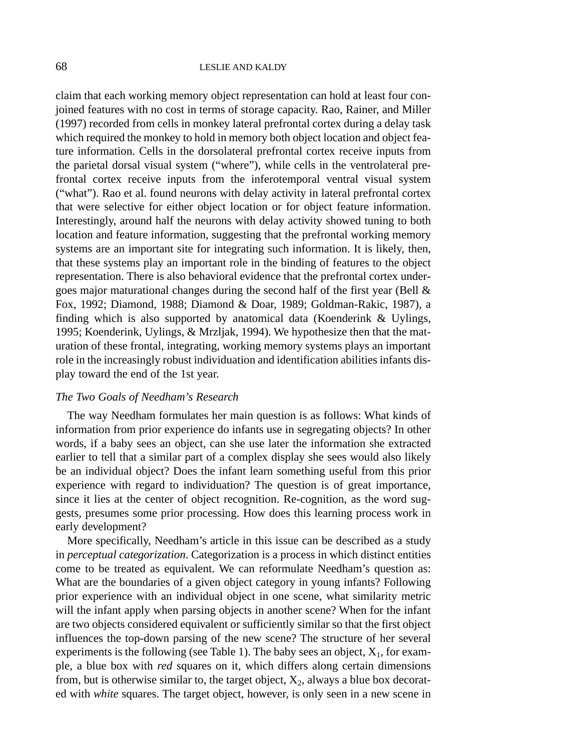claim that each working memory object representation can hold at least four conjoined features with no cost in terms of storage capacity. Rao, Rainer, and Miller (1997) recorded from cells in monkey lateral prefrontal cortex during a delay task which required the monkey to hold in memory both object location and object feature information. Cells in the dorsolateral prefrontal cortex receive inputs from the parietal dorsal visual system ("where"), while cells in the ventrolateral prefrontal cortex receive inputs from the inferotemporal ventral visual system ("what"). Rao et al. found neurons with delay activity in lateral prefrontal cortex that were selective for either object location or for object feature information. Interestingly, around half the neurons with delay activity showed tuning to both location and feature information, suggesting that the prefrontal working memory systems are an important site for integrating such information. It is likely, then, that these systems play an important role in the binding of features to the object representation. There is also behavioral evidence that the prefrontal cortex undergoes major maturational changes during the second half of the first year (Bell & Fox, 1992; Diamond, 1988; Diamond & Doar, 1989; Goldman-Rakic, 1987), a finding which is also supported by anatomical data (Koenderink & Uylings, 1995; Koenderink, Uylings, & Mrzljak, 1994). We hypothesize then that the maturation of these frontal, integrating, working memory systems plays an important role in the increasingly robust individuation and identification abilities infants display toward the end of the 1st year.

#### *The Two Goals of Needham's Research*

The way Needham formulates her main question is as follows: What kinds of information from prior experience do infants use in segregating objects? In other words, if a baby sees an object, can she use later the information she extracted earlier to tell that a similar part of a complex display she sees would also likely be an individual object? Does the infant learn something useful from this prior experience with regard to individuation? The question is of great importance, since it lies at the center of object recognition. Re-cognition, as the word suggests, presumes some prior processing. How does this learning process work in early development?

More specifically, Needham's article in this issue can be described as a study in *perceptual categorization*. Categorization is a process in which distinct entities come to be treated as equivalent. We can reformulate Needham's question as: What are the boundaries of a given object category in young infants? Following prior experience with an individual object in one scene, what similarity metric will the infant apply when parsing objects in another scene? When for the infant are two objects considered equivalent or sufficiently similar so that the first object influences the top-down parsing of the new scene? The structure of her several experiments is the following (see Table 1). The baby sees an object,  $X_1$ , for example, a blue box with *red* squares on it, which differs along certain dimensions from, but is otherwise similar to, the target object,  $X_2$ , always a blue box decorated with *white* squares. The target object, however, is only seen in a new scene in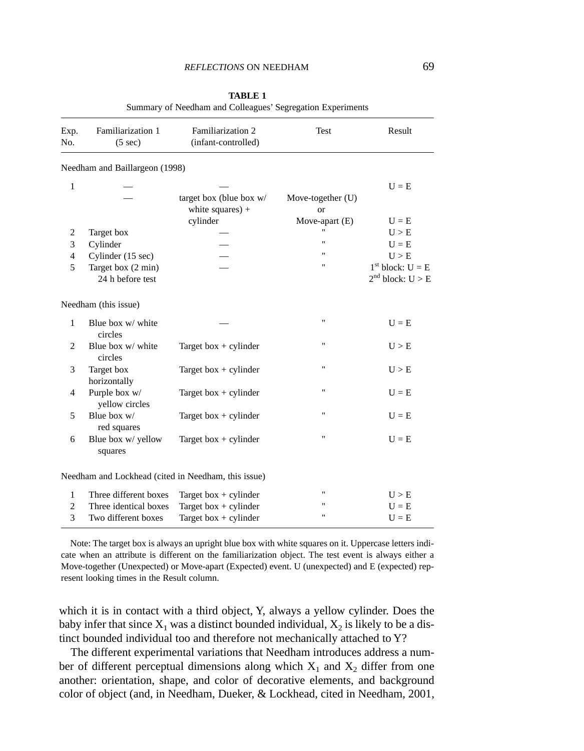#### *REFLECTIONS* ON NEEDHAM 69

| Exp.<br>No.    | Familiarization 1<br>$(5 \text{ sec})$ | Familiarization 2<br>(infant-controlled)            | Test              | Result                  |
|----------------|----------------------------------------|-----------------------------------------------------|-------------------|-------------------------|
|                | Needham and Baillargeon (1998)         |                                                     |                   |                         |
| $\mathbf{1}$   |                                        |                                                     |                   | $U = E$                 |
|                |                                        | target box (blue box w/                             | Move-together (U) |                         |
|                |                                        | white squares $) +$                                 | <sub>or</sub>     |                         |
|                |                                        | cylinder                                            | Move-apart (E)    | $U = E$                 |
| 2              | Target box                             |                                                     | $\blacksquare$    | U > E                   |
| 3              | Cylinder                               |                                                     | $^{\dagger}$      | $U = E$                 |
| $\overline{4}$ | Cylinder (15 sec)                      |                                                     | $^{\dagger}$      | U > E                   |
| 5              | Target box (2 min)                     |                                                     | $^{\dagger}$      | $1st block: U = E$      |
|                | 24 h before test                       |                                                     |                   | $2^{nd}$ block: $U > E$ |
|                | Needham (this issue)                   |                                                     |                   |                         |
| $\mathbf{1}$   | Blue box w/ white<br>circles           |                                                     | "                 | $U = E$                 |
| $\overline{c}$ | Blue box w/ white<br>circles           | Target box $+$ cylinder                             | 11                | U > E                   |
| 3              | Target box<br>horizontally             | Target box $+$ cylinder                             | "                 | U > E                   |
| 4              | Purple box w/<br>yellow circles        | Target box $+$ cylinder                             | $^{\dagger}$      | $U = E$                 |
| 5              | Blue box w/<br>red squares             | Target box $+$ cylinder                             | "                 | $U = E$                 |
| 6              | Blue box w/ yellow<br>squares          | Target box $+$ cylinder                             | 11                | $U = E$                 |
|                |                                        | Needham and Lockhead (cited in Needham, this issue) |                   |                         |
| $\mathbf{1}$   | Three different boxes                  | Target box $+$ cylinder                             | $^{\dagger}$      | U > E                   |
| 2              | Three identical boxes                  | Target box $+$ cylinder                             |                   | $U = E$                 |
| 3              | Two different boxes                    | Target box $+$ cylinder                             | 11                | $U = E$                 |

**TABLE 1** Summary of Needham and Colleagues' Segregation Experiments

Note: The target box is always an upright blue box with white squares on it. Uppercase letters indicate when an attribute is different on the familiarization object. The test event is always either a Move-together (Unexpected) or Move-apart (Expected) event. U (unexpected) and E (expected) represent looking times in the Result column.

which it is in contact with a third object, Y, always a yellow cylinder. Does the baby infer that since  $X_1$  was a distinct bounded individual,  $X_2$  is likely to be a distinct bounded individual too and therefore not mechanically attached to Y?

The different experimental variations that Needham introduces address a number of different perceptual dimensions along which  $X_1$  and  $X_2$  differ from one another: orientation, shape, and color of decorative elements, and background color of object (and, in Needham, Dueker, & Lockhead, cited in Needham, 2001,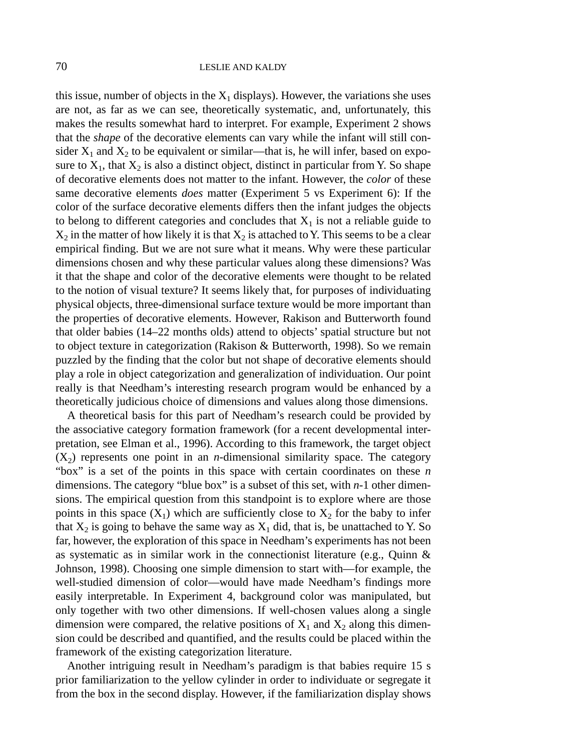this issue, number of objects in the  $X_1$  displays). However, the variations she uses are not, as far as we can see, theoretically systematic, and, unfortunately, this makes the results somewhat hard to interpret. For example, Experiment 2 shows that the *shape* of the decorative elements can vary while the infant will still consider  $X_1$  and  $X_2$  to be equivalent or similar—that is, he will infer, based on exposure to  $X_1$ , that  $X_2$  is also a distinct object, distinct in particular from Y. So shape of decorative elements does not matter to the infant. However, the *color* of these same decorative elements *does* matter (Experiment 5 vs Experiment 6): If the color of the surface decorative elements differs then the infant judges the objects to belong to different categories and concludes that  $X_1$  is not a reliable guide to  $X_2$  in the matter of how likely it is that  $X_2$  is attached to Y. This seems to be a clear empirical finding. But we are not sure what it means. Why were these particular dimensions chosen and why these particular values along these dimensions? Was it that the shape and color of the decorative elements were thought to be related to the notion of visual texture? It seems likely that, for purposes of individuating physical objects, three-dimensional surface texture would be more important than the properties of decorative elements. However, Rakison and Butterworth found that older babies (14–22 months olds) attend to objects' spatial structure but not to object texture in categorization (Rakison & Butterworth, 1998). So we remain puzzled by the finding that the color but not shape of decorative elements should play a role in object categorization and generalization of individuation. Our point really is that Needham's interesting research program would be enhanced by a theoretically judicious choice of dimensions and values along those dimensions.

A theoretical basis for this part of Needham's research could be provided by the associative category formation framework (for a recent developmental interpretation, see Elman et al., 1996). According to this framework, the target object  $(X_2)$  represents one point in an *n*-dimensional similarity space. The category "box" is a set of the points in this space with certain coordinates on these *n* dimensions. The category "blue box" is a subset of this set, with *n*-1 other dimensions. The empirical question from this standpoint is to explore where are those points in this space  $(X_1)$  which are sufficiently close to  $X_2$  for the baby to infer that  $X_2$  is going to behave the same way as  $X_1$  did, that is, be unattached to Y. So far, however, the exploration of this space in Needham's experiments has not been as systematic as in similar work in the connectionist literature (e.g., Quinn & Johnson, 1998). Choosing one simple dimension to start with—for example, the well-studied dimension of color—would have made Needham's findings more easily interpretable. In Experiment 4, background color was manipulated, but only together with two other dimensions. If well-chosen values along a single dimension were compared, the relative positions of  $X_1$  and  $X_2$  along this dimension could be described and quantified, and the results could be placed within the framework of the existing categorization literature.

Another intriguing result in Needham's paradigm is that babies require 15 s prior familiarization to the yellow cylinder in order to individuate or segregate it from the box in the second display. However, if the familiarization display shows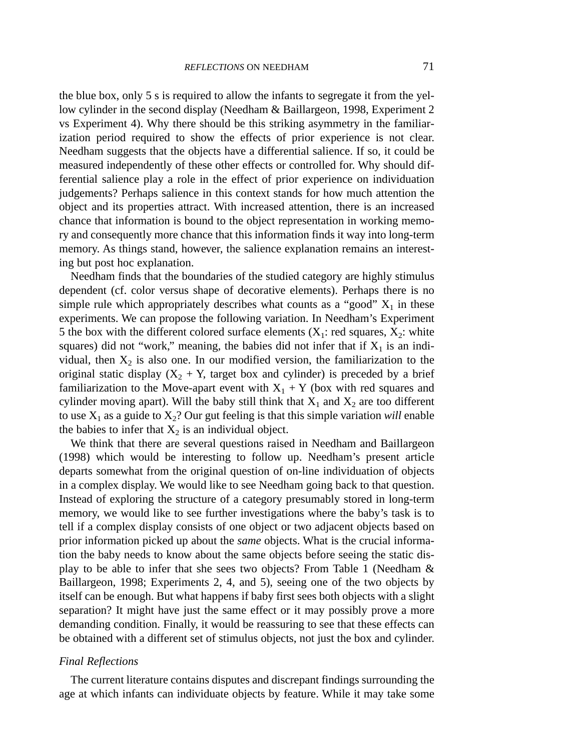the blue box, only 5 s is required to allow the infants to segregate it from the yellow cylinder in the second display (Needham & Baillargeon, 1998, Experiment 2 vs Experiment 4). Why there should be this striking asymmetry in the familiarization period required to show the effects of prior experience is not clear. Needham suggests that the objects have a differential salience. If so, it could be measured independently of these other effects or controlled for. Why should differential salience play a role in the effect of prior experience on individuation judgements? Perhaps salience in this context stands for how much attention the object and its properties attract. With increased attention, there is an increased chance that information is bound to the object representation in working memory and consequently more chance that this information finds it way into long-term memory. As things stand, however, the salience explanation remains an interesting but post hoc explanation.

Needham finds that the boundaries of the studied category are highly stimulus dependent (cf. color versus shape of decorative elements). Perhaps there is no simple rule which appropriately describes what counts as a "good"  $X_1$  in these experiments. We can propose the following variation. In Needham's Experiment 5 the box with the different colored surface elements  $(X_1: red \text{ squares}, X_2: \text{white})$ squares) did not "work," meaning, the babies did not infer that if  $X_1$  is an individual, then  $X_2$  is also one. In our modified version, the familiarization to the original static display  $(X_2 + Y_1)$  target box and cylinder) is preceded by a brief familiarization to the Move-apart event with  $X_1 + Y$  (box with red squares and cylinder moving apart). Will the baby still think that  $X_1$  and  $X_2$  are too different to use  $X_1$  as a guide to  $X_2$ ? Our gut feeling is that this simple variation *will* enable the babies to infer that  $X_2$  is an individual object.

We think that there are several questions raised in Needham and Baillargeon (1998) which would be interesting to follow up. Needham's present article departs somewhat from the original question of on-line individuation of objects in a complex display. We would like to see Needham going back to that question. Instead of exploring the structure of a category presumably stored in long-term memory, we would like to see further investigations where the baby's task is to tell if a complex display consists of one object or two adjacent objects based on prior information picked up about the *same* objects. What is the crucial information the baby needs to know about the same objects before seeing the static display to be able to infer that she sees two objects? From Table 1 (Needham & Baillargeon, 1998; Experiments 2, 4, and 5), seeing one of the two objects by itself can be enough. But what happens if baby first sees both objects with a slight separation? It might have just the same effect or it may possibly prove a more demanding condition. Finally, it would be reassuring to see that these effects can be obtained with a different set of stimulus objects, not just the box and cylinder.

### *Final Reflections*

The current literature contains disputes and discrepant findings surrounding the age at which infants can individuate objects by feature. While it may take some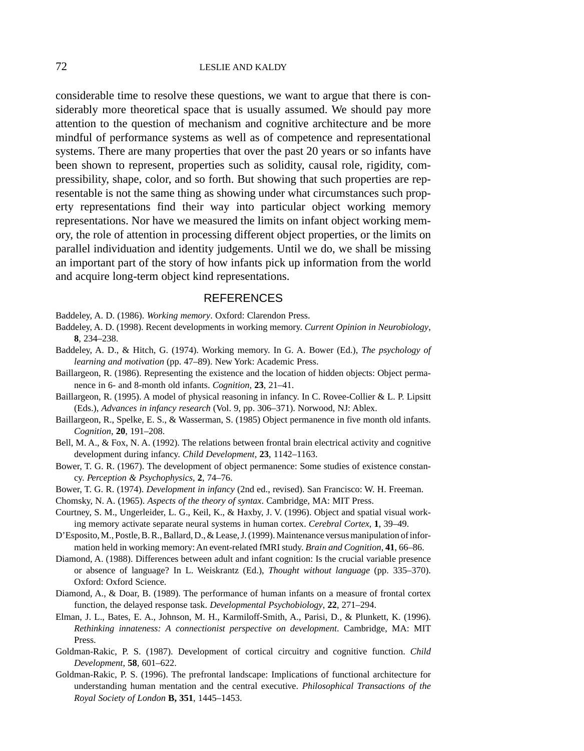considerable time to resolve these questions, we want to argue that there is considerably more theoretical space that is usually assumed. We should pay more attention to the question of mechanism and cognitive architecture and be more mindful of performance systems as well as of competence and representational systems. There are many properties that over the past 20 years or so infants have been shown to represent, properties such as solidity, causal role, rigidity, compressibility, shape, color, and so forth. But showing that such properties are representable is not the same thing as showing under what circumstances such property representations find their way into particular object working memory representations. Nor have we measured the limits on infant object working memory, the role of attention in processing different object properties, or the limits on parallel individuation and identity judgements. Until we do, we shall be missing an important part of the story of how infants pick up information from the world and acquire long-term object kind representations.

#### REFERENCES

Baddeley, A. D. (1986). *Working memory*. Oxford: Clarendon Press.

- Baddeley, A. D. (1998). Recent developments in working memory. *Current Opinion in Neurobiology*, **8**, 234–238.
- Baddeley, A. D., & Hitch, G. (1974). Working memory. In G. A. Bower (Ed.), *The psychology of learning and motivation* (pp. 47–89). New York: Academic Press.
- Baillargeon, R. (1986). Representing the existence and the location of hidden objects: Object permanence in 6- and 8-month old infants. *Cognition*, **23**, 21–41.
- Baillargeon, R. (1995). A model of physical reasoning in infancy. In C. Rovee-Collier & L. P. Lipsitt (Eds.), *Advances in infancy research* (Vol. 9, pp. 306–371). Norwood, NJ: Ablex.
- Baillargeon, R., Spelke, E. S., & Wasserman, S. (1985) Object permanence in five month old infants. *Cognition*, **20**, 191–208.
- Bell, M. A., & Fox, N. A. (1992). The relations between frontal brain electrical activity and cognitive development during infancy. *Child Development*, **23**, 1142–1163.
- Bower, T. G. R. (1967). The development of object permanence: Some studies of existence constancy. *Perception & Psychophysics*, **2**, 74–76.
- Bower, T. G. R. (1974). *Development in infancy* (2nd ed., revised). San Francisco: W. H. Freeman.
- Chomsky, N. A. (1965). *Aspects of the theory of syntax*. Cambridge, MA: MIT Press.
- Courtney, S. M., Ungerleider, L. G., Keil, K., & Haxby, J. V. (1996). Object and spatial visual working memory activate separate neural systems in human cortex. *Cerebral Cortex*, **1**, 39–49.
- D'Esposito, M., Postle, B. R., Ballard, D., & Lease, J. (1999). Maintenance versus manipulation of information held in working memory: An event-related fMRI study. *Brain and Cognition*, **41**, 66–86.
- Diamond, A. (1988). Differences between adult and infant cognition: Is the crucial variable presence or absence of language? In L. Weiskrantz (Ed.), *Thought without language* (pp. 335–370). Oxford: Oxford Science.
- Diamond, A., & Doar, B. (1989). The performance of human infants on a measure of frontal cortex function, the delayed response task. *Developmental Psychobiology*, **22**, 271–294.
- Elman, J. L., Bates, E. A., Johnson, M. H., Karmiloff-Smith, A., Parisi, D., & Plunkett, K. (1996). *Rethinking innateness: A connectionist perspective on development*. Cambridge, MA: MIT Press.
- Goldman-Rakic, P. S. (1987). Development of cortical circuitry and cognitive function. *Child Development*, **58**, 601–622.
- Goldman-Rakic, P. S. (1996). The prefrontal landscape: Implications of functional architecture for understanding human mentation and the central executive. *Philosophical Transactions of the Royal Society of London* **B, 351**, 1445–1453.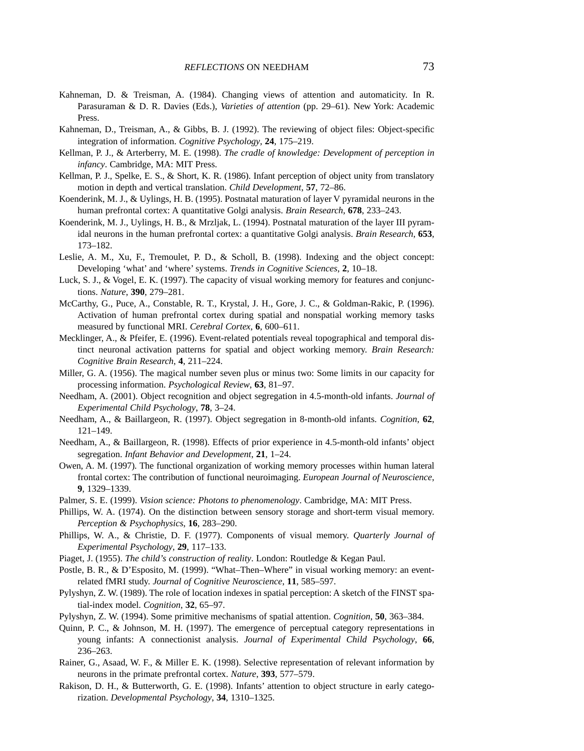- Kahneman, D. & Treisman, A. (1984). Changing views of attention and automaticity. In R. Parasuraman & D. R. Davies (Eds.), *Varieties of attention* (pp. 29–61). New York: Academic Press.
- Kahneman, D., Treisman, A., & Gibbs, B. J. (1992). The reviewing of object files: Object-specific integration of information. *Cognitive Psychology*, **24**, 175–219.
- Kellman, P. J., & Arterberry, M. E. (1998). *The cradle of knowledge: Development of perception in infancy*. Cambridge, MA: MIT Press.
- Kellman, P. J., Spelke, E. S., & Short, K. R. (1986). Infant perception of object unity from translatory motion in depth and vertical translation. *Child Development*, **57**, 72–86.
- Koenderink, M. J., & Uylings, H. B. (1995). Postnatal maturation of layer V pyramidal neurons in the human prefrontal cortex: A quantitative Golgi analysis. *Brain Research*, **678**, 233–243.
- Koenderink, M. J., Uylings, H. B., & Mrzljak, L. (1994). Postnatal maturation of the layer III pyramidal neurons in the human prefrontal cortex: a quantitative Golgi analysis. *Brain Research*, **653**, 173–182.
- Leslie, A. M., Xu, F., Tremoulet, P. D., & Scholl, B. (1998). Indexing and the object concept: Developing 'what' and 'where' systems. *Trends in Cognitive Sciences*, **2**, 10–18.
- Luck, S. J., & Vogel, E. K. (1997). The capacity of visual working memory for features and conjunctions. *Nature*, **390**, 279–281.
- McCarthy, G., Puce, A., Constable, R. T., Krystal, J. H., Gore, J. C., & Goldman-Rakic, P. (1996). Activation of human prefrontal cortex during spatial and nonspatial working memory tasks measured by functional MRI. *Cerebral Cortex*, **6**, 600–611.
- Mecklinger, A., & Pfeifer, E. (1996). Event-related potentials reveal topographical and temporal distinct neuronal activation patterns for spatial and object working memory. *Brain Research: Cognitive Brain Research*, **4**, 211–224.
- Miller, G. A. (1956). The magical number seven plus or minus two: Some limits in our capacity for processing information. *Psychological Review*, **63**, 81–97.
- Needham, A. (2001). Object recognition and object segregation in 4.5-month-old infants. *Journal of Experimental Child Psychology*, **78**, 3–24.
- Needham, A., & Baillargeon, R. (1997). Object segregation in 8-month-old infants. *Cognition*, **62**, 121–149.
- Needham, A., & Baillargeon, R. (1998). Effects of prior experience in 4.5-month-old infants' object segregation. *Infant Behavior and Development*, **21**, 1–24.
- Owen, A. M. (1997). The functional organization of working memory processes within human lateral frontal cortex: The contribution of functional neuroimaging. *European Journal of Neuroscience*, **9**, 1329–1339.
- Palmer, S. E. (1999). *Vision science: Photons to phenomenology*. Cambridge, MA: MIT Press.
- Phillips, W. A. (1974). On the distinction between sensory storage and short-term visual memory. *Perception & Psychophysics*, **16**, 283–290.
- Phillips, W. A., & Christie, D. F. (1977). Components of visual memory. *Quarterly Journal of Experimental Psychology*, **29**, 117–133.
- Piaget, J. (1955). *The child's construction of reality*. London: Routledge & Kegan Paul.
- Postle, B. R., & D'Esposito, M. (1999). "What–Then–Where" in visual working memory: an eventrelated fMRI study. *Journal of Cognitive Neuroscience*, **11**, 585–597.
- Pylyshyn, Z. W. (1989). The role of location indexes in spatial perception: A sketch of the FINST spatial-index model. *Cognition*, **32**, 65–97.
- Pylyshyn, Z. W. (1994). Some primitive mechanisms of spatial attention. *Cognition*, **50**, 363–384.
- Quinn, P. C., & Johnson, M. H. (1997). The emergence of perceptual category representations in young infants: A connectionist analysis. *Journal of Experimental Child Psychology*, **66**, 236–263.
- Rainer, G., Asaad, W. F., & Miller E. K. (1998). Selective representation of relevant information by neurons in the primate prefrontal cortex. *Nature*, **393**, 577–579.
- Rakison, D. H., & Butterworth, G. E. (1998). Infants' attention to object structure in early categorization. *Developmental Psychology*, **34**, 1310–1325.